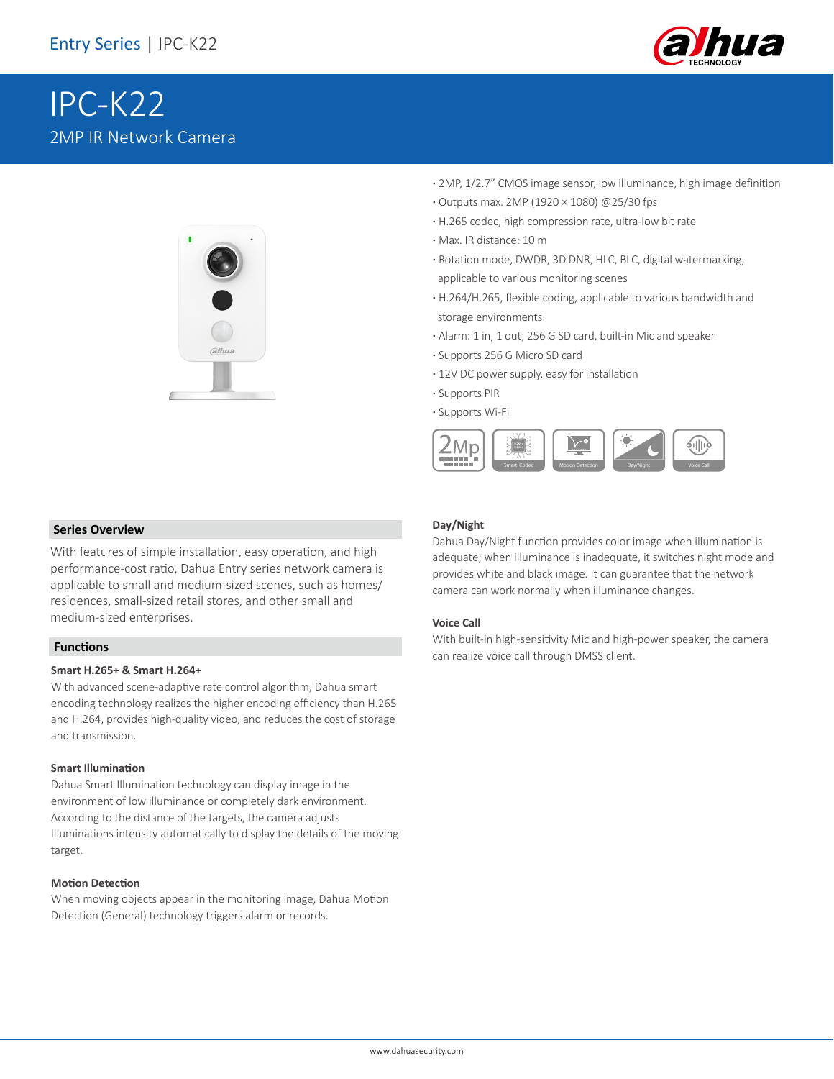

# IPC-K22 2MP IR Network Camera



- **·** 2MP, 1/2.7" CMOS image sensor, low illuminance, high image definition
- **·** Outputs max. 2MP (1920 × 1080) @25/30 fps
- **·** H.265 codec, high compression rate, ultra-low bit rate
- **·** Max. IR distance: 10 m
- **·** Rotation mode, DWDR, 3D DNR, HLC, BLC, digital watermarking, applicable to various monitoring scenes
- **·** H.264/H.265, flexible coding, applicable to various bandwidth and storage environments.
- **·** Alarm: 1 in, 1 out; 256 G SD card, built-in Mic and speaker
- **·** Supports 256 G Micro SD card
- **·** 12V DC power supply, easy for installation
- **·** Supports PIR
- **·** Supports Wi-Fi



#### **Series Overview**

With features of simple installation, easy operation, and high performance-cost ratio, Dahua Entry series network camera is applicable to small and medium-sized scenes, such as homes/ residences, small-sized retail stores, and other small and medium-sized enterprises.

#### **Functions**

#### **Smart H.265+ & Smart H.264+**

With advanced scene-adaptive rate control algorithm, Dahua smart encoding technology realizes the higher encoding efficiency than H.265 and H.264, provides high-quality video, and reduces the cost of storage and transmission.

#### **Smart Illumination**

Dahua Smart Illumination technology can display image in the environment of low illuminance or completely dark environment. According to the distance of the targets, the camera adjusts Illuminations intensity automatically to display the details of the moving target.

#### **Motion Detection**

When moving objects appear in the monitoring image, Dahua Motion Detection (General) technology triggers alarm or records.

#### **Day/Night**

Dahua Day/Night function provides color image when illumination is adequate; when illuminance is inadequate, it switches night mode and provides white and black image. It can guarantee that the network camera can work normally when illuminance changes.

#### **Voice Call**

With built-in high-sensitivity Mic and high-power speaker, the camera can realize voice call through DMSS client.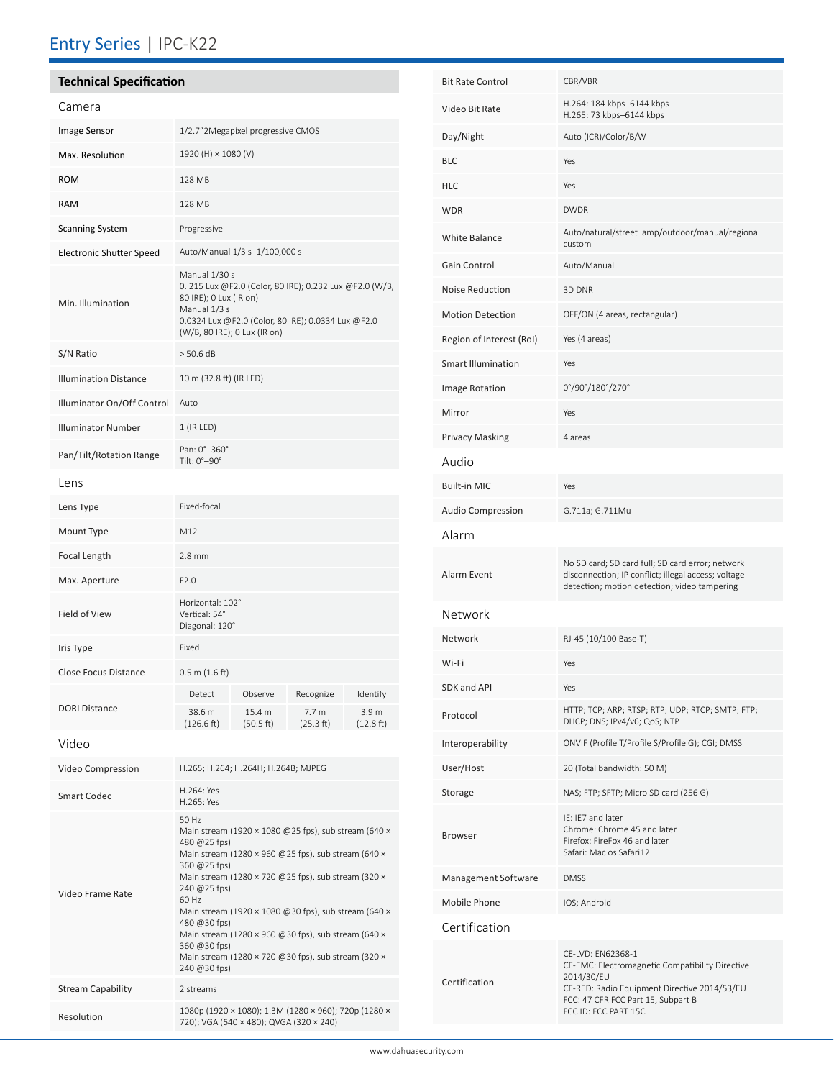## Entry Series | IPC-K22

## **Technical Specification** Camera

Video Frame Rate

Stream Capability 2 streams

| <u>Caillei</u> a                |                                                                                                                                                                                                          |                                     |                               |                                         |
|---------------------------------|----------------------------------------------------------------------------------------------------------------------------------------------------------------------------------------------------------|-------------------------------------|-------------------------------|-----------------------------------------|
| Image Sensor                    | 1/2.7"2Megapixel progressive CMOS                                                                                                                                                                        |                                     |                               |                                         |
| Max. Resolution                 | 1920 (H) × 1080 (V)                                                                                                                                                                                      |                                     |                               |                                         |
| <b>ROM</b>                      | 128 MB                                                                                                                                                                                                   |                                     |                               |                                         |
| <b>RAM</b>                      | 128 MB                                                                                                                                                                                                   |                                     |                               |                                         |
| <b>Scanning System</b>          | Progressive                                                                                                                                                                                              |                                     |                               |                                         |
| <b>Electronic Shutter Speed</b> | Auto/Manual 1/3 s-1/100,000 s                                                                                                                                                                            |                                     |                               |                                         |
| Min. Illumination               | Manual 1/30 s<br>0. 215 Lux @F2.0 (Color, 80 IRE); 0.232 Lux @F2.0 (W/B,<br>80 IRE); 0 Lux (IR on)<br>Manual 1/3 s<br>0.0324 Lux @F2.0 (Color, 80 IRE); 0.0334 Lux @F2.0<br>(W/B, 80 IRE); 0 Lux (IR on) |                                     |                               |                                         |
| S/N Ratio                       | $>$ 50.6 dB                                                                                                                                                                                              |                                     |                               |                                         |
| <b>Illumination Distance</b>    | 10 m (32.8 ft) (IR LED)                                                                                                                                                                                  |                                     |                               |                                         |
| Illuminator On/Off Control      | Auto                                                                                                                                                                                                     |                                     |                               |                                         |
| <b>Illuminator Number</b>       | $1$ (IR LED)                                                                                                                                                                                             |                                     |                               |                                         |
| Pan/Tilt/Rotation Range         | Pan: 0°-360°<br>Tilt: 0°-90°                                                                                                                                                                             |                                     |                               |                                         |
| Lens                            |                                                                                                                                                                                                          |                                     |                               |                                         |
| Lens Type                       | Fixed-focal                                                                                                                                                                                              |                                     |                               |                                         |
| Mount Type                      | M12                                                                                                                                                                                                      |                                     |                               |                                         |
| Focal Length                    | $2.8 \text{ mm}$                                                                                                                                                                                         |                                     |                               |                                         |
| Max. Aperture                   | F2.0                                                                                                                                                                                                     |                                     |                               |                                         |
| Field of View                   | Horizontal: 102°<br>Vertical: 54°<br>Diagonal: 120°                                                                                                                                                      |                                     |                               |                                         |
| Iris Type                       | Fixed                                                                                                                                                                                                    |                                     |                               |                                         |
| <b>Close Focus Distance</b>     | 0.5 m (1.6 ft)                                                                                                                                                                                           |                                     |                               |                                         |
| <b>DORI Distance</b>            | Detect                                                                                                                                                                                                   | Observe                             | Recognize                     | Identify                                |
|                                 | 38.6 m<br>(126.6 ft)                                                                                                                                                                                     | 15.4 m<br>(50.5 ft)                 | 7.7 <sub>m</sub><br>(25.3 ft) | 3.9 <sub>m</sub><br>$(12.8 \text{ ft})$ |
| Video                           |                                                                                                                                                                                                          |                                     |                               |                                         |
| Video Compression               |                                                                                                                                                                                                          | H.265; H.264; H.264H; H.264B; MJPEG |                               |                                         |
| <b>Smart Codec</b>              | H.264: Yes<br>H.265: Yes                                                                                                                                                                                 |                                     |                               |                                         |
|                                 | 50 Hz<br>Main stream (1920 × 1080 @25 fps), sub stream (640 ×<br>480 @25 fps)<br>Main stream (1280 × 960 @25 fps), sub stream (640 ×<br>360 @25 fps)                                                     |                                     |                               |                                         |

Main stream (1280 × 720 @25 fps), sub stream (320 ×

Main stream (1920 × 1080 @30 fps), sub stream (640 ×

Main stream (1280 × 960 @30 fps), sub stream (640  $\times$ 

Main stream (1280 × 720 @30 fps), sub stream (320 ×

240 @25 fps) 60 Hz

480 @30 fps)

360 @30 fps)

240 @30 fps)

Resolution 1080p (1920 × 1080); 1.3M (1280 × 960); 720p (1280 × 720); VGA (640 × 480); QVGA (320 × 240)

| <b>Bit Rate Control</b>   | CBR/VBR                                                                                                                                                                                          |  |
|---------------------------|--------------------------------------------------------------------------------------------------------------------------------------------------------------------------------------------------|--|
| Video Bit Rate            | H.264: 184 kbps-6144 kbps<br>H.265: 73 kbps-6144 kbps                                                                                                                                            |  |
| Day/Night                 | Auto (ICR)/Color/B/W                                                                                                                                                                             |  |
| <b>BLC</b>                | Yes                                                                                                                                                                                              |  |
| <b>HLC</b>                | Yes                                                                                                                                                                                              |  |
| <b>WDR</b>                | <b>DWDR</b>                                                                                                                                                                                      |  |
| <b>White Balance</b>      | Auto/natural/street lamp/outdoor/manual/regional<br>custom                                                                                                                                       |  |
| Gain Control              | Auto/Manual                                                                                                                                                                                      |  |
| Noise Reduction           | 3D DNR                                                                                                                                                                                           |  |
| <b>Motion Detection</b>   | OFF/ON (4 areas, rectangular)                                                                                                                                                                    |  |
| Region of Interest (RoI)  | Yes (4 areas)                                                                                                                                                                                    |  |
| <b>Smart Illumination</b> | Yes                                                                                                                                                                                              |  |
| Image Rotation            | 0°/90°/180°/270°                                                                                                                                                                                 |  |
| Mirror                    | Yes                                                                                                                                                                                              |  |
| <b>Privacy Masking</b>    | 4 areas                                                                                                                                                                                          |  |
| Audio                     |                                                                                                                                                                                                  |  |
| <b>Built-in MIC</b>       | Yes                                                                                                                                                                                              |  |
| <b>Audio Compression</b>  | G.711a; G.711Mu                                                                                                                                                                                  |  |
| Alarm                     |                                                                                                                                                                                                  |  |
| Alarm Event               | No SD card; SD card full; SD card error; network<br>disconnection; IP conflict; illegal access; voltage<br>detection; motion detection; video tampering                                          |  |
| Network                   |                                                                                                                                                                                                  |  |
| Network                   | RJ-45 (10/100 Base-T)                                                                                                                                                                            |  |
| Wi-Fi                     | Yes                                                                                                                                                                                              |  |
| SDK and API               | Yes                                                                                                                                                                                              |  |
| Protocol                  | HTTP; TCP; ARP; RTSP; RTP; UDP; RTCP; SMTP; FTP;<br>DHCP; DNS; IPv4/v6; QoS; NTP                                                                                                                 |  |
| Interoperability          | ONVIF (Profile T/Profile S/Profile G); CGI; DMSS                                                                                                                                                 |  |
| User/Host                 | 20 (Total bandwidth: 50 M)                                                                                                                                                                       |  |
| Storage                   | NAS; FTP; SFTP; Micro SD card (256 G)                                                                                                                                                            |  |
| <b>Browser</b>            | IE: IE7 and later<br>Chrome: Chrome 45 and later<br>Firefox: FireFox 46 and later<br>Safari: Mac os Safari12                                                                                     |  |
| Management Software       | <b>DMSS</b>                                                                                                                                                                                      |  |
| Mobile Phone              | IOS; Android                                                                                                                                                                                     |  |
| Certification             |                                                                                                                                                                                                  |  |
| Certification             | CE-LVD: EN62368-1<br>CE-EMC: Electromagnetic Compatibility Directive<br>2014/30/EU<br>CE-RED: Radio Equipment Directive 2014/53/EU<br>FCC: 47 CFR FCC Part 15, Subpart B<br>FCC ID: FCC PART 15C |  |